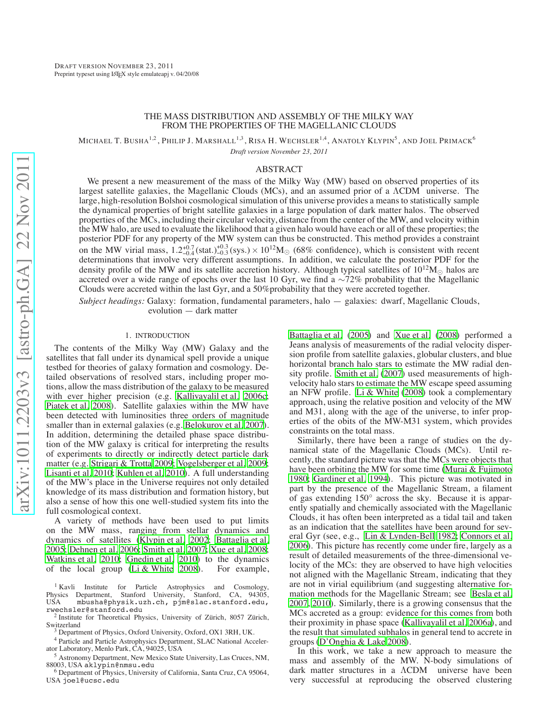# THE MASS DISTRIBUTION AND ASSEMBLY OF THE MILKY WAY FROM THE PROPERTIES OF THE MAGELLANIC CLOUDS

MICHAEL T. BUSHA<sup>1,2</sup> , PHILIP J. MARSHALL<sup>1,3</sup> , RISA H. WECHSLER<sup>1,4</sup> , ANATOLY KLYPIN<sup>5</sup> , AND JOEL PRIMACK<sup>6</sup> *Draft version November 23, 2011*

#### ABSTRACT

We present a new measurement of the mass of the Milky Way (MW) based on observed properties of its largest satellite galaxies, the Magellanic Clouds (MCs), and an assumed prior of a ΛCDM universe. The large, high-resolution Bolshoi cosmological simulation of this universe provides a means to statistically sample the dynamical properties of bright satellite galaxies in a large population of dark matter halos. The observed properties of the MCs, including their circular velocity, distance from the center of the MW, and velocity within the MW halo, are used to evaluate the likelihood that a given halo would have each or all of these properties; the posterior PDF for any property of the MW system can thus be constructed. This method provides a constraint on the MW virial mass,  $1.2^{+0.7}_{-0.4}$  (stat.) $^{+0.3}_{-0.3}$  (sys.)  $\times 10^{12}$ M<sub> $\odot$ </sub> (68% confidence), which is consistent with recent determinations that involve very different assumptions. In addition, we calculate t density profile of the MW and its satellite accretion history. Although typical satellites of  $10^{12}M_{\odot}$  halos are accreted over a wide range of epochs over the last 10 Gyr, we find a  $\sim$ 72% probability that the Magellanic Clouds were accreted within the last Gyr, and a 50%probability that they were accreted together.

*Subject headings:* Galaxy: formation, fundamental parameters, halo — galaxies: dwarf, Magellanic Clouds, evolution — dark matter

## 1. INTRODUCTION

The contents of the Milky Way (MW) Galaxy and the satellites that fall under its dynamical spell provide a unique testbed for theories of galaxy formation and cosmology. Detailed observations of resolved stars, including proper motions, allow the mass distribution of the galaxy to be measured with ever higher precision (e.g. [Kallivayalil et al. 2006c;](#page-7-0) [Piatek et al. 2008\)](#page-7-1). Satellite galaxies within the MW have been detected with luminosities three orders of magnitude smaller than in external galaxies (e.g. [Belokurov et al. 2007\)](#page-7-2). In addition, determining the detailed phase space distribution of the MW galaxy is critical for interpreting the results of experiments to directly or indirectly detect particle dark matter (e.g. [Strigari & Trotta 2009;](#page-8-0) [Vogelsberger et al. 2009;](#page-8-1) [Lisanti et al. 2010](#page-7-3); [Kuhlen et al. 2010\)](#page-7-4). A full understanding of the MW's place in the Universe requires not only detailed knowledge of its mass distribution and formation history, but also a sense of how this one well-studied system fits into the full cosmological context.

A variety of methods have been used to put limits on the MW mass, ranging from stellar dynamics and dynamics of satellites [\(Klypin et al. 2002;](#page-7-5) [Battaglia et al.](#page-7-6) [2005;](#page-7-6) [Dehnen et al. 2006;](#page-7-7) [Smith et al. 2007;](#page-7-8) [Xue et al. 2008;](#page-8-2) [Watkins et al. 2010;](#page-8-3) [Gnedin et al. 2010](#page-7-9)) to the dynamics of the local group [\(Li & White 2008\)](#page-7-10). For example,

<sup>4</sup> Particle and Particle Astrophysics Department, SLAC National Accelerator Laboratory, Menlo Park, CA, 94025, USA

<sup>5</sup> Astronomy Department, New Mexico State University, Las Cruces, NM, 88003, USA aklypin@nmsu.edu

<sup>6</sup> Department of Physics, University of California, Santa Cruz, CA 95064, USA joel@ucsc.edu

[Battaglia et al.](#page-7-6) [\(2005\)](#page-7-6) and [Xue et al.](#page-8-2) [\(2008](#page-8-2)) performed a Jeans analysis of measurements of the radial velocity dispersion profile from satellite galaxies, globular clusters, and blue horizontal branch halo stars to estimate the MW radial density profile. [Smith et al.](#page-7-8) [\(2007](#page-7-8)) used measurements of highvelocity halo stars to estimate the MW escape speed assuming an NFW profile. [Li & White](#page-7-10) [\(2008\)](#page-7-10) took a complementary approach, using the relative position and velocity of the MW and M31, along with the age of the universe, to infer properties of the obits of the MW-M31 system, which provides constraints on the total mass.

Similarly, there have been a range of studies on the dynamical state of the Magellanic Clouds (MCs). Until recently, the standard picture was that the MCs were objects that have been orbiting the MW for some time [\(Murai & Fujimoto](#page-7-11) [1980;](#page-7-11) [Gardiner et al. 1994\)](#page-7-12). This picture was motivated in part by the presence of the Magellanic Stream, a filament of gas extending 150◦ across the sky. Because it is apparently spatially and chemically associated with the Magellanic Clouds, it has often been interpreted as a tidal tail and taken as an indication that the satellites have been around for several Gyr (see, e.g., [Lin & Lynden-Bell 1982](#page-7-13); [Connors et al.](#page-7-14) [2006\)](#page-7-14). This picture has recently come under fire, largely as a result of detailed measurements of the three-dimensional velocity of the MCs: they are observed to have high velocities not aligned with the Magellanic Stream, indicating that they are not in virial equilibrium (and suggesting alternative formation methods for the Magellanic Stream; see [Besla et al.](#page-7-15) [2007,](#page-7-15) [2010\)](#page-7-16). Similarly, there is a growing consensus that the MCs accreted as a group: evidence for this comes from both their proximity in phase space [\(Kallivayalil et al. 2006a](#page-7-17)), and the result that simulated subhalos in general tend to accrete in groups [\(D'Onghia & Lake 2008\)](#page-7-18).

In this work, we take a new approach to measure the mass and assembly of the MW. N-body simulations of dark matter structures in a ΛCDM universe have been very successful at reproducing the observed clustering

<sup>&</sup>lt;sup>1</sup> Kavli Institute for Particle Astrophysics and Cosmology, Physics Department, Stanford University, Stanford, CA, 94305, USA mbusha@physik.uzh.ch, pjm@slac.stanford.edu,

rwechsler@stanford.edu<br>
<sup>2</sup> Institute for Theoretical Physics, University of Zürich, 8057 Zürich,<br>
Switzerland

Department of Physics, Oxford University, Oxford, OX1 3RH, UK.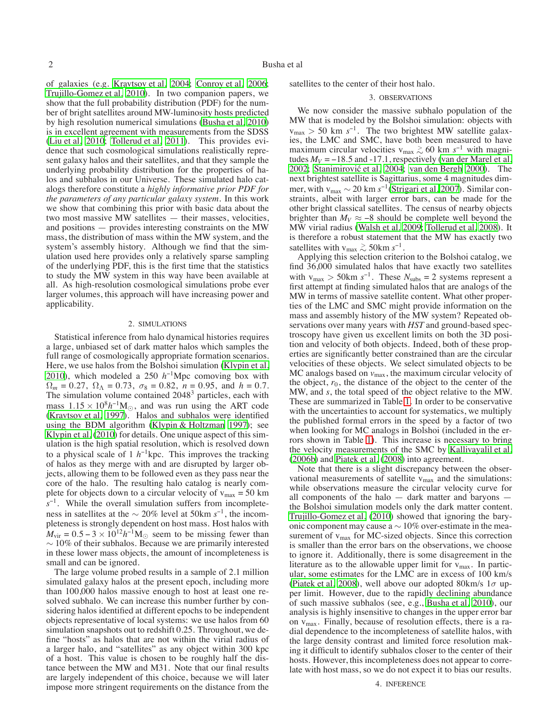of galaxies (e.g. [Kravtsov et al. 2004;](#page-7-19) [Conroy et al. 2006;](#page-7-20) [Trujillo-Gomez et al. 2010\)](#page-8-4). In two companion papers, we show that the full probability distribution (PDF) for the number of bright satellites around MW-luminosity hosts predicted by high resolution numerical simulations [\(Busha et al. 2010\)](#page-7-21) is in excellent agreement with measurements from the SDSS [\(Liu et al. 2010;](#page-7-22) [Tollerud et al. 2011\)](#page-8-5). This provides evidence that such cosmological simulations realistically represent galaxy halos and their satellites, and that they sample the underlying probability distribution for the properties of halos and subhalos in our Universe. These simulated halo catalogs therefore constitute a *highly informative prior PDF for the parameters of any particular galaxy system*. In this work we show that combining this prior with basic data about the two most massive MW satellites — their masses, velocities, and positions — provides interesting constraints on the MW mass, the distribution of mass within the MW system, and the system's assembly history. Although we find that the simulation used here provides only a relatively sparse sampling of the underlying PDF, this is the first time that the statistics to study the MW system in this way have been available at all. As high-resolution cosmological simulations probe ever larger volumes, this approach will have increasing power and applicability.

### 2. SIMULATIONS

Statistical inference from halo dynamical histories requires a large, unbiased set of dark matter halos which samples the full range of cosmologically appropriate formation scenarios. Here, we use halos from the Bolshoi simulation [\(Klypin et al.](#page-7-23) [2010\)](#page-7-23), which modeled a 250 *h*<sup>−</sup>1Mpc comoving box with  $\Omega_m = 0.27$ ,  $\Omega_{\Lambda} = 0.73$ ,  $\sigma_8 = 0.82$ ,  $n = 0.95$ , and  $h = 0.7$ . The simulation volume contained 2048<sup>3</sup> particles, each with mass  $1.15 \times 10^8 h^{-1}$ M<sub>☉</sub>, and was run using the ART code [\(Kravtsov et al. 1997](#page-7-24)). Halos and subhalos were identified using the BDM algorithm [\(Klypin & Holtzman 1997\)](#page-7-25); see [Klypin et al.](#page-7-23) [\(2010\)](#page-7-23) for details. One unique aspect of this simulation is the high spatial resolution, which is resolved down to a physical scale of 1  $h^{-1}$ kpc. This improves the tracking of halos as they merge with and are disrupted by larger objects, allowing them to be followed even as they pass near the core of the halo. The resulting halo catalog is nearly complete for objects down to a circular velocity of  $v_{\text{max}} = 50 \text{ km}$ *s*<sup>−1</sup>. While the overall simulation suffers from incompleteness in satellites at the <sup>∼</sup> 20% level at 50km *<sup>s</sup>*<sup>−</sup>1, the incompleteness is strongly dependent on host mass. Host halos with  $M_{\text{vir}} = 0.5 - 3 \times 10^{12} h^{-1} M_{\odot}$  seem to be missing fewer than  $\sim$  10% of their subhalos. Because we are primarily interested in these lower mass objects, the amount of incompleteness is small and can be ignored.

The large volume probed results in a sample of 2.1 million simulated galaxy halos at the present epoch, including more than 100,000 halos massive enough to host at least one resolved subhalo. We can increase this number further by considering halos identified at different epochs to be independent objects representative of local systems: we use halos from 60 simulation snapshots out to redshift 0.25. Throughout, we define "hosts" as halos that are not within the virial radius of a larger halo, and "satellites" as any object within 300 kpc of a host. This value is chosen to be roughly half the distance between the MW and M31. Note that our final results are largely independent of this choice, because we will later impose more stringent requirements on the distance from the

satellites to the center of their host halo.

# 3. OBSERVATIONS

We now consider the massive subhalo population of the MW that is modeled by the Bolshoi simulation: objects with vmax > 50 km *s*<sup>−</sup>1. The two brightest MW satellite galaxies, the LMC and SMC, have both been measured to have maximum circular velocities v<sub>max</sub>  $\gtrsim 60$  km  $s^{-1}$  with magnitudes *M*<sub>x</sub> = −18.5 and −17.1, respectively (yen der Marel et al. tudes  $M_V = -18.5$  and  $-17.1$ , respectively [\(van der Marel et al.](#page-8-6) [2002;](#page-8-6) Stanimirović et al. 2004; [van den Bergh 2000\)](#page-8-7). The next brightest satellite is Sagittarius, some 4 magnitudes dim-mer, with v<sub>max</sub> ~ 20 km s<sup>-1</sup>[\(Strigari et al. 2007\)](#page-8-8). Similar constraints, albeit with larger error bars, can be made for the other bright classical satellites. The census of nearby objects brighter than  $M_V \approx -8$  should be complete well beyond the MW virial radius [\(Walsh et al. 2009](#page-8-9); [Tollerud et al. 2008](#page-8-10)). It is therefore a robust statement that the MW has exactly two satellites with v<sub>max</sub>  $\gtrsim$  50km s<sup>−1</sup>.

Applying this selection criterion to the Bolshoi catalog, we find 36,000 simulated halos that have exactly two satellites with  $v_{\text{max}} > 50 \text{km s}^{-1}$ . These  $N_{\text{subs}} = 2$  systems represent a first attempt at finding simulated halos that are analogs of the MW in terms of massive satellite content. What other properties of the LMC and SMC might provide information on the mass and assembly history of the MW system? Repeated observations over many years with *HST* and ground-based spectroscopy have given us excellent limits on both the 3D position and velocity of both objects. Indeed, both of these properties are significantly better constrained than are the circular velocities of these objects. We select simulated objects to be  $MC$  analogs based on  $v_{\text{max}}$ , the maximum circular velocity of the object,  $r_0$ , the distance of the object to the center of the MW, and *s*, the total speed of the object relative to the MW. These are summarized in Table [1.](#page-2-0) In order to be conservative with the uncertainties to account for systematics, we multiply the published formal errors in the speed by a factor of two when looking for MC analogs in Bolshoi (included in the errors shown in Table [1\)](#page-2-0). This increase is necessary to bring the velocity measurements of the SMC by [Kallivayalil et al.](#page-7-27) [\(2006b\)](#page-7-27) and [Piatek et al.](#page-7-1) [\(2008](#page-7-1)) into agreement.

Note that there is a slight discrepancy between the observational measurements of satellite  $v_{\text{max}}$  and the simulations: while observations measure the circular velocity curve for all components of the halo — dark matter and baryons the Bolshoi simulation models only the dark matter content. [Trujillo-Gomez et al.](#page-8-4) [\(2010\)](#page-8-4) showed that ignoring the baryonic component may cause a  $\sim$  10% over-estimate in the measurement of v<sub>max</sub> for MC-sized objects. Since this correction is smaller than the error bars on the observations, we choose to ignore it. Additionally, there is some disagreement in the literature as to the allowable upper limit for  $v_{\text{max}}$ . In particular, some estimates for the LMC are in excess of 100 km/s [\(Piatek et al. 2008](#page-7-1)), well above our adopted 80km/s  $1\sigma$  upper limit. However, due to the rapidly declining abundance of such massive subhalos (see, e.g., [Busha et al. 2010\)](#page-7-21), our analysis is highly insensitive to changes in the upper error bar on  $v_{\text{max}}$ . Finally, because of resolution effects, there is a radial dependence to the incompleteness of satellite halos, with the large density contrast and limited force resolution making it difficult to identify subhalos closer to the center of their hosts. However, this incompleteness does not appear to correlate with host mass, so we do not expect it to bias our results.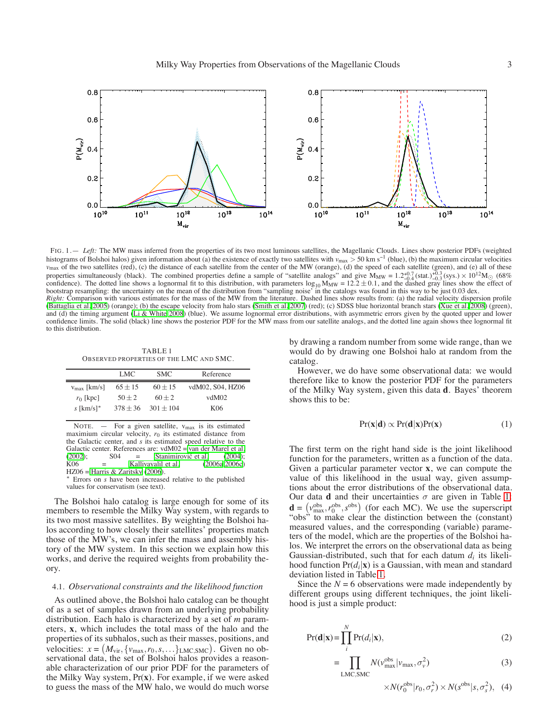

<span id="page-2-2"></span>FIG. 1. — Left: The MW mass inferred from the properties of its two most luminous satellites, the Magellanic Clouds. Lines show posterior PDFs (weighted histograms of Bolshoi halos) given information about (a) the existence of exactly two satellites with *v*max > 50 km s−<sup>1</sup> (blue), (b) the maximum circular velocities *v*<sub>max</sub> of the two satellites (red), (c) the distance of each satellite from the center of the MW (orange), (d) the speed of each satellite (green), and (e) all of these properties simultaneously (black). The combined properties define a sample of "satellite analogs" and give  $M_{MW} = 1.2^{+0.7}_{-0.4}$  (stat.) $^{+0.3}_{-0.3}$  (sys.)  $\times 10^{12}M_{\odot}$  (68%) confidence). The dotted line shows a lo bootstrap resampling: the uncertainty on the mean of the distribution from "sampling noise" in the catalogs was found in this way to be just 0.03 dex. *Right:* Comparison with various estimates for the mass of the MW from the literature. Dashed lines show results from: (a) the radial velocity dispersion profile

[\(Battaglia et al. 2005](#page-7-6)) (orange); (b) the escape velocity from halo stars [\(Smith et al. 2007](#page-7-8)) (red); (c) SDSS blue horizontal branch stars [\(Xue et al. 2008](#page-8-2)) (green), and (d) the timing argument [\(Li & White 2008](#page-7-10)) (blue). We assume lognormal error distributions, with asymmetric errors given by the quoted upper and lower confidence limits. The solid (black) line shows the posterior PDF for the MW mass from our satellite analogs, and the dotted line again shows thee lognormal fit to this distribution.

<span id="page-2-0"></span>TABLE 1 OBSERVED PROPERTIES OF THE LMC AND SMC.

|                         | LMC         | <b>SMC</b>  | Reference        |
|-------------------------|-------------|-------------|------------------|
| $v_{\text{max}}$ [km/s] | $65 \pm 15$ | $60 \pm 15$ | vdM02, S04, HZ06 |
| $r_0$ [kpc]             | $50 + 2$    | $60 + 2$    | vdM02            |
| $s$ [km/s]*             | $378 + 36$  | $301 + 104$ | K <sub>06</sub>  |
|                         |             |             |                  |

NOTE.  $-$  For a given satellite,  $v_{\text{max}}$  is its estimated maximium circular velocity,  $r_0$  its estimated distance from the Galactic center, and *s* its estimated speed relative to the Galactic center. References are:  $v\text{M}02 = \text{van der Marel et al.}$  (2002); S04 = Stanimirović et al. (2004); [\(2002](#page-8-6));  $S04 = Stanimirović et al.$  [\(2004](#page-7-26));<br> $K06 = Kallivayalil et al.$  (2006a, 2006c) Kallivayalil et al.  $HZ06 =$  [Harris & Zaritsky](#page-7-28) [\(2006](#page-7-28)).

<sup>∗</sup> Errors on *s* have been increased relative to the published values for conservatism (see text).

The Bolshoi halo catalog is large enough for some of its members to resemble the Milky Way system, with regards to its two most massive satellites. By weighting the Bolshoi halos according to how closely their satellites' properties match those of the MW's, we can infer the mass and assembly history of the MW system. In this section we explain how this works, and derive the required weights from probability theory.

## 4.1. *Observational constraints and the likelihood function*

As outlined above, the Bolshoi halo catalog can be thought of as a set of samples drawn from an underlying probability distribution. Each halo is characterized by a set of *m* parameters, **x**, which includes the total mass of the halo and the properties of its subhalos, such as their masses, positions, and velocities:  $x = (M_{\text{vir}}, \{v_{\text{max}}, r_0, s, \ldots\})$  LMC, SMC). Given no observational data, the set of Bolshoi halos provides a reasonable characterization of our prior PDF for the parameters of the Milky Way system, Pr(**x**). For example, if we were asked to guess the mass of the MW halo, we would do much worse

by drawing a random number from some wide range, than we would do by drawing one Bolshoi halo at random from the catalog.

However, we do have some observational data: we would therefore like to know the posterior PDF for the parameters of the Milky Way system, given this data **d**. Bayes' theorem shows this to be:

<span id="page-2-1"></span>
$$
Pr(\mathbf{x}|\mathbf{d}) \propto Pr(\mathbf{d}|\mathbf{x}) Pr(\mathbf{x})
$$
 (1)

The first term on the right hand side is the joint likelihood function for the parameters, written as a function of the data. Given a particular parameter vector **x**, we can compute the value of this likelihood in the usual way, given assumptions about the error distributions of the observational data. Our data **d** and their uncertainties  $\sigma$  are given in Table [1:](#page-2-0)  $\mathbf{d} = (v_{\text{max}}^{\text{obs}}, r_0^{\text{obs}}, s^{\text{obs}})$  (for each MC). We use the superscript "obs" to make clear the distinction between the (constant) measured values, and the corresponding (variable) parameters of the model, which are the properties of the Bolshoi halos. We interpret the errors on the observational data as being Gaussian-distributed, such that for each datum  $d_i$  its likelihood function  $Pr(d_i|\mathbf{x})$  is a Gaussian, with mean and standard deviation listed in Table [1.](#page-2-0)

Since the  $N = 6$  observations were made independently by different groups using different techniques, the joint likelihood is just a simple product:

$$
Pr(\mathbf{d}|\mathbf{x}) = \prod_{i}^{N} Pr(d_i|\mathbf{x}),
$$
\n(2)

$$
= \prod_{LMC,SMC} N(\nu_{\text{max}}^{\text{obs}} | \nu_{\text{max}}, \sigma_{\nu}^2)
$$
 (3)

$$
\times N(r_0^{\text{obs}}|r_0, \sigma_r^2) \times N(s^{\text{obs}}|s, \sigma_s^2), \quad (4)
$$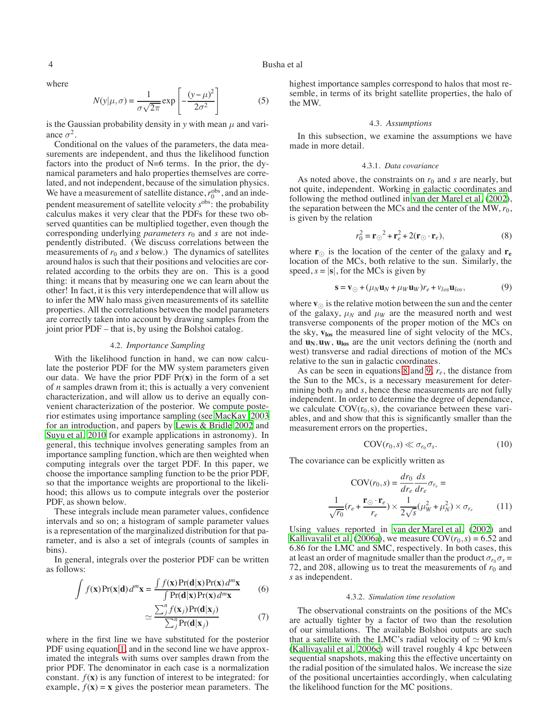where

$$
N(y|\mu,\sigma) = \frac{1}{\sigma\sqrt{2\pi}} \exp\left[-\frac{(y-\mu)^2}{2\sigma^2}\right]
$$
 (5)

is the Gaussian probability density in  $y$  with mean  $\mu$  and variance  $\sigma^2$ .

Conditional on the values of the parameters, the data measurements are independent, and thus the likelihood function factors into the product of N=6 terms. In the prior, the dynamical parameters and halo properties themselves are correlated, and not independent, because of the simulation physics. We have a measurement of satellite distance,  $r_0^{obs}$ , and an independent measurement of satellite velocity *s*obs: the probability calculus makes it very clear that the PDFs for these two observed quantities can be multiplied together, even though the corresponding underlying *parameters r*<sup>0</sup> and *s* are not independently distributed. (We discuss correlations between the measurements of  $r_0$  and  $s$  below.) The dynamics of satellites around halos is such that their positions and velocities are correlated according to the orbits they are on. This is a good thing: it means that by measuring one we can learn about the other! In fact, it is this very interdependence that will allow us to infer the MW halo mass given measurements of its satellite properties. All the correlations between the model parameters are correctly taken into account by drawing samples from the joint prior PDF – that is, by using the Bolshoi catalog.

## 4.2. *Importance Sampling*

With the likelihood function in hand, we can now calculate the posterior PDF for the MW system parameters given our data. We have the prior PDF Pr(**x**) in the form of a set of *n* samples drawn from it; this is actually a very convenient characterization, and will allow us to derive an equally convenient characterization of the posterior. We compute posterior estimates using importance sampling (see [MacKay 2003](#page-7-29) for an introduction, and papers by [Lewis & Bridle 2002](#page-7-30) and [Suyu et al. 2010](#page-8-11) for example applications in astronomy). In general, this technique involves generating samples from an importance sampling function, which are then weighted when computing integrals over the target PDF. In this paper, we choose the importance sampling function to be the prior PDF, so that the importance weights are proportional to the likelihood; this allows us to compute integrals over the posterior PDF, as shown below.

These integrals include mean parameter values, confidence intervals and so on; a histogram of sample parameter values is a representation of the marginalized distribution for that parameter, and is also a set of integrals (counts of samples in bins).

In general, integrals over the posterior PDF can be written as follows:

$$
\int f(\mathbf{x}) \Pr(\mathbf{x}|\mathbf{d}) d^m \mathbf{x} = \frac{\int f(\mathbf{x}) \Pr(\mathbf{d}|\mathbf{x}) \Pr(\mathbf{x}) d^m \mathbf{x}}{\int \Pr(\mathbf{d}|\mathbf{x}) \Pr(\mathbf{x}) d^m \mathbf{x}} \tag{6}
$$

$$
\simeq \frac{\sum_{j}^{n} f(\mathbf{x}_{j}) \Pr(\mathbf{d}|\mathbf{x}_{j})}{\sum_{j}^{n} \Pr(\mathbf{d}|\mathbf{x}_{j})}
$$
(7)

where in the first line we have substituted for the posterior PDF using equation [1,](#page-2-1) and in the second line we have approximated the integrals with sums over samples drawn from the prior PDF. The denominator in each case is a normalization constant.  $f(\mathbf{x})$  is any function of interest to be integrated: for example,  $f(x) = x$  gives the posterior mean parameters. The

4 Busha et al

highest importance samples correspond to halos that most resemble, in terms of its bright satellite properties, the halo of the MW.

### 4.3. *Assumptions*

In this subsection, we examine the assumptions we have made in more detail.

#### 4.3.1. *Data covariance*

As noted above, the constraints on  $r_0$  and  $s$  are nearly, but not quite, independent. Working in galactic coordinates and following the method outlined in [van der Marel et al.](#page-8-6) [\(2002](#page-8-6)), the separation between the MCs and the center of the MW,  $r_0$ , is given by the relation

<span id="page-3-0"></span>
$$
r_0^2 = \mathbf{r}_{\odot}^2 + \mathbf{r}_e^2 + 2(\mathbf{r}_{\odot} \cdot \mathbf{r}_e),
$$
 (8)

where  $\mathbf{r}_{\odot}$  is the location of the center of the galaxy and  $\mathbf{r}_{e}$ location of the MCs, both relative to the sun. Similarly, the speed,  $s = |\mathbf{s}|$ , for the MCs is given by

<span id="page-3-1"></span>
$$
\mathbf{s} = \mathbf{v}_{\odot} + (\mu_N \mathbf{u}_N + \mu_W \mathbf{u}_W) r_e + v_{los} \mathbf{u}_{los},
$$
(9)

where  $\mathbf{v}_{\odot}$  is the relative motion between the sun and the center of the galaxy,  $\mu_N$  and  $\mu_W$  are the measured north and west transverse components of the proper motion of the MCs on the sky, **vlos** the measured line of sight velocity of the MCs, and  $\mathbf{u}_N, \mathbf{u}_W, \mathbf{u}_{los}$  are the unit vectors defining the (north and west) transverse and radial directions of motion of the MCs relative to the sun in galactic coordinates.

As can be seen in equations [8](#page-3-0) and [9,](#page-3-1) *re*, the distance from the Sun to the MCs, is a necessary measurement for determining both  $r_0$  and  $s$ , hence these measurements are not fully independent. In order to determine the degree of dependance, we calculate  $COV(r_0, s)$ , the covariance between these variables, and and show that this is significantly smaller than the measurement errors on the properties,

$$
COV(r_0, s) \ll \sigma_{r_0} \sigma_s. \tag{10}
$$

The covariance can be explicitly written as

$$
COV(r_0, s) = \frac{dr_0}{dr_e} \frac{ds}{dr_e} \sigma_{r_e} = \frac{1}{\sqrt{r_0}} (r_e + \frac{\mathbf{r}_{\odot} \cdot \mathbf{r}_e}{r_e}) \times \frac{1}{2\sqrt{s}} (\mu_W^2 + \mu_N^2) \times \sigma_{r_e}
$$
(11)

Using values reported in [van der Marel et al.](#page-8-6) [\(2002\)](#page-8-6) and [Kallivayalil et al.](#page-7-17) [\(2006a](#page-7-17)), we measure  $COV(r_0, s) = 6.52$  and 6.86 for the LMC and SMC, respectively. In both cases, this at least an order of magnitude smaller than the product  $\sigma_{r_0}\sigma_s$  = 72, and 208, allowing us to treat the measurements of  $r_0$  and *s* as independent.

### 4.3.2. *Simulation time resolution*

The observational constraints on the positions of the MCs are actually tighter by a factor of two than the resolution of our simulations. The available Bolshoi outputs are such that a satellite with the LMC's radial velocity of  $\simeq 90$  km/s [\(Kallivayalil et al. 2006c](#page-7-0)) will travel roughly 4 kpc between sequential snapshots, making this the effective uncertainty on the radial position of the simulated halos. We increase the size of the positional uncertainties accordingly, when calculating the likelihood function for the MC positions.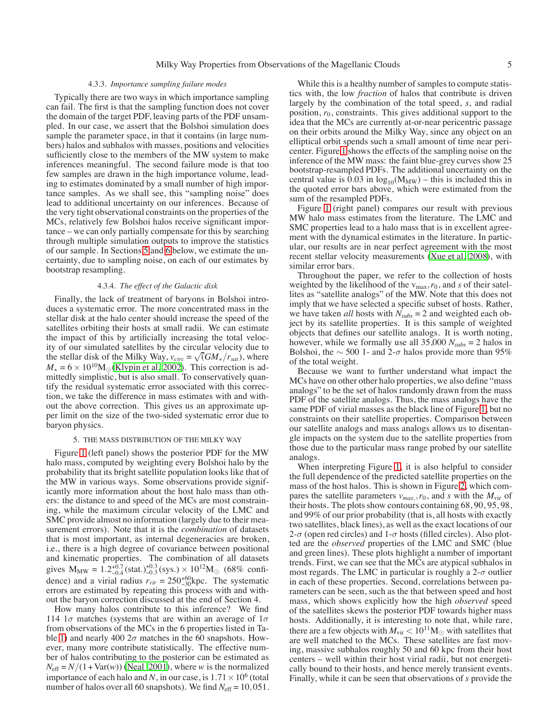# 4.3.3. *Importance sampling failure modes*

Typically there are two ways in which importance sampling can fail. The first is that the sampling function does not cover the domain of the target PDF, leaving parts of the PDF unsampled. In our case, we assert that the Bolshoi simulation does sample the parameter space, in that it contains (in large numbers) halos and subhalos with masses, positions and velocities sufficiently close to the members of the MW system to make inferences meaningful. The second failure mode is that too few samples are drawn in the high importance volume, leading to estimates dominated by a small number of high importance samples. As we shall see, this "sampling noise" does lead to additional uncertainty on our inferences. Because of the very tight observational constraints on the properties of the MCs, relatively few Bolshoi halos receive significant importance – we can only partially compensate for this by searching through multiple simulation outputs to improve the statistics of our sample. In Sections [5](#page-4-0) and [6](#page-5-0) below, we estimate the uncertainty, due to sampling noise, on each of our estimates by bootstrap resampling.

# 4.3.4. *The effect of the Galactic disk*

Finally, the lack of treatment of baryons in Bolshoi introduces a systematic error. The more concentrated mass in the stellar disk at the halo center should increase the speed of the satellites orbiting their hosts at small radii. We can estimate the impact of this by artificially increasing the total velocity of our simulated satellites by the circular velocity due to the stellar disk of the Milky Way,  $v_{circ} = \sqrt{(GM_*/r_{sat})}$ , where  $M_* = 6 \times 10^{10} M_{\odot}$ [\(Klypin et al. 2002\)](#page-7-5). This correction is admittedly simplistic, but is also small. To conservatively quantify the residual systematic error associated with this correction, we take the difference in mass estimates with and without the above correction. This gives us an approximate upper limit on the size of the two-sided systematic error due to baryon physics.

## 5. THE MASS DISTRIBUTION OF THE MILKY WAY

<span id="page-4-0"></span>Figure [1](#page-2-2) (left panel) shows the posterior PDF for the MW halo mass, computed by weighting every Bolshoi halo by the probability that its bright satellite population looks like that of the MW in various ways. Some observations provide significantly more information about the host halo mass than others: the distance to and speed of the MCs are most constraining, while the maximum circular velocity of the LMC and SMC provide almost no information (largely due to their measurement errors). Note that it is the *combination* of datasets that is most important, as internal degeneracies are broken, i.e., there is a high degree of covariance between positional and kinematic properties. The combination of all datasets gives  $M_{MW} = 1.2^{+0.7}_{-0.4}$  (stat.) $^{+0.3}_{-0.3}$  (sys.)  $\times 10^{12} M_{\odot}$  (68% confidence) and a virial radius  $r_{vir} = 250^{+60}_{-30}$  kpc. The systematic errors are estimated by repeating this process with and without the baryon correction discussed at the end of Section 4.

How many halos contribute to this inference? We find 114  $1\sigma$  matches (systems that are within an average of  $1\sigma$ from observations of the MCs in the 6 properties listed in Ta-ble [1\)](#page-2-0) and nearly 400  $2\sigma$  matches in the 60 snapshots. However, many more contribute statistically. The effective number of halos contributing to the posterior can be estimated as  $N_{\text{eff}} = N/(1 + \text{Var}(w))$  [\(Neal 2001](#page-7-31)), where *w* is the normalized importance of each halo and *N*, in our case, is  $1.71 \times 10^6$  (total number of halos over all 60 snapshots). We find  $N_{\text{eff}} = 10,051$ .

While this is a healthy number of samples to compute statistics with, the low *fraction* of halos that contribute is driven largely by the combination of the total speed, *s*, and radial position,  $r_0$ , constraints. This gives additional support to the idea that the MCs are currently at-or-near pericentric passage on their orbits around the Milky Way, since any object on an elliptical orbit spends such a small amount of time near pericenter. Figure [1](#page-2-2) shows the effects of the sampling noise on the inference of the MW mass: the faint blue-grey curves show 25 bootstrap-resampled PDFs. The additional uncertainty on the central value is 0.03 in  $log_{10}(M_{MW})$  – this is included this in the quoted error bars above, which were estimated from the sum of the resampled PDFs.

Figure [1](#page-2-2) (right panel) compares our result with previous MW halo mass estimates from the literature. The LMC and SMC properties lead to a halo mass that is in excellent agreement with the dynamical estimates in the literature. In particular, our results are in near perfect agreement with the most recent stellar velocity measurements [\(Xue et al. 2008\)](#page-8-2), with similar error bars.

Throughout the paper, we refer to the collection of hosts weighted by the likelihood of the  $v_{\text{max}}$ ,  $r_0$ , and *s* of their satellites as "satellite analogs" of the MW. Note that this does not imply that we have selected a specific subset of hosts. Rather, we have taken *all* hosts with  $N_{subs} = 2$  and weighted each object by its satellite properties. It is this sample of weighted objects that defines our satellite analogs. It is worth noting, however, while we formally use all  $35,000 N_{subs} = 2$  halos in Bolshoi, the  $\sim$  500 1- and 2- $\sigma$  halos provide more than 95% of the total weight.

Because we want to further understand what impact the MCs have on other other halo properties, we also define "mass analogs" to be the set of halos randomly drawn from the mass PDF of the satellite analogs. Thus, the mass analogs have the same PDF of virial masses as the black line of Figure [1,](#page-2-2) but no constraints on their satellite properties. Comparison between our satellite analogs and mass analogs allows us to disentangle impacts on the system due to the satellite properties from those due to the particular mass range probed by our satellite analogs.

When interpreting Figure [1,](#page-2-2) it is also helpful to consider the full dependence of the predicted satellite properties on the mass of the host halos. This is shown in Figure [2,](#page-5-1) which compares the satellite parameters  $v_{max}$ ,  $r_0$ , and *s* with the  $M_{\text{vir}}$  of their hosts. The plots show contours containing 68, 90, 95, 98, and 99% of our prior probability (that is, all hosts with exactly two satellites, black lines), as well as the exact locations of our 2- $\sigma$  (open red circles) and 1- $\sigma$  hosts (filled circles). Also plotted are the *observed* properties of the LMC and SMC (blue and green lines). These plots highlight a number of important trends. First, we can see that the MCs are atypical subhalos in most regards. The LMC in particular is roughly a  $2-\sigma$  outlier in each of these properties. Second, correlations between parameters can be seen, such as the that between speed and host mass, which shows explicitly how the high *observed* speed of the satellites skews the posterior PDF towards higher mass hosts. Additionally, it is interesting to note that, while rare, there are a few objects with  $M_{\mathrm{vir}}$   $< 10^{11} \mathrm{M}_\odot$  with satellites that are well matched to the MCs. These satellites are fast moving, massive subhalos roughly 50 and 60 kpc from their host centers – well within their host virial radii, but not energetically bound to their hosts, and hence merely transient events. Finally, while it can be seen that observations of *s* provide the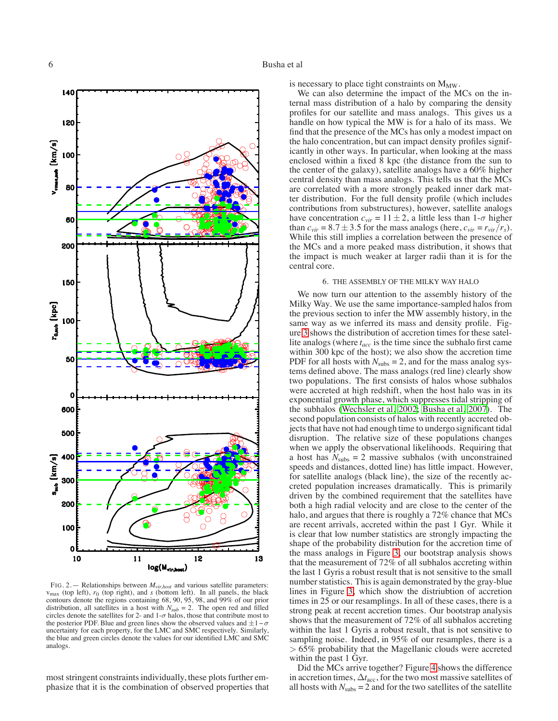

<span id="page-5-1"></span>FIG. 2.— Relationships between *Mvir*,*host* and various satellite parameters:  $v_{\text{max}}$  (top left),  $r_0$  (top right), and *s* (bottom left). In all panels, the black contours denote the regions containing 68, 90, 95, 98, and 99% of our prior distribution, all satellites in a host with  $N_{sub} = 2$ . The open red and filled circles denote the satellites for 2- and  $1-\sigma$  halos, those that contribute most to the posterior PDF. Blue and green lines show the observed values and  $\pm 1-\sigma$ uncertainty for each property, for the LMC and SMC respectively. Similarly, the blue and green circles denote the values for our identified LMC and SMC analogs.

most stringent constraints individually, these plots further emphasize that it is the combination of observed properties that is necessary to place tight constraints on  $M_{MW}$ .

We can also determine the impact of the MCs on the internal mass distribution of a halo by comparing the density profiles for our satellite and mass analogs. This gives us a handle on how typical the MW is for a halo of its mass. We find that the presence of the MCs has only a modest impact on the halo concentration, but can impact density profiles significantly in other ways. In particular, when looking at the mass enclosed within a fixed 8 kpc (the distance from the sun to the center of the galaxy), satellite analogs have a 60% higher central density than mass analogs. This tells us that the MCs are correlated with a more strongly peaked inner dark matter distribution. For the full density profile (which includes contributions from substructures), however, satellite analogs have concentration  $c_{vir} = 11 \pm 2$ , a little less than  $1-\sigma$  higher than  $c_{vir} = 8.7 \pm 3.5$  for the mass analogs (here,  $c_{vir} = r_{vir}/r_s$ ). While this still implies a correlation between the presence of the MCs and a more peaked mass distribution, it shows that the impact is much weaker at larger radii than it is for the central core.

## 6. THE ASSEMBLY OF THE MILKY WAY HALO

<span id="page-5-0"></span>We now turn our attention to the assembly history of the Milky Way. We use the same importance-sampled halos from the previous section to infer the MW assembly history, in the same way as we inferred its mass and density profile. Figure [3](#page-6-0) shows the distribution of accretion times for these satellite analogs (where *tacc* is the time since the subhalo first came within 300 kpc of the host); we also show the accretion time PDF for all hosts with  $N_{\text{subs}} = 2$ , and for the mass analog systems defined above. The mass analogs (red line) clearly show two populations. The first consists of halos whose subhalos were accreted at high redshift, when the host halo was in its exponential growth phase, which suppresses tidal stripping of the subhalos [\(Wechsler et al. 2002;](#page-8-12) [Busha et al. 2007](#page-7-32)). The second population consists of halos with recently accreted objects that have not had enough time to undergo significant tidal disruption. The relative size of these populations changes when we apply the observational likelihoods. Requiring that a host has  $N_{\text{subs}} = 2$  massive subhalos (with unconstrained speeds and distances, dotted line) has little impact. However, for satellite analogs (black line), the size of the recently accreted population increases dramatically. This is primarily driven by the combined requirement that the satellites have both a high radial velocity and are close to the center of the halo, and argues that there is roughly a 72% chance that MCs are recent arrivals, accreted within the past 1 Gyr. While it is clear that low number statistics are strongly impacting the shape of the probability distribution for the accretion time of the mass analogs in Figure [3,](#page-6-0) our bootstrap analysis shows that the measurement of 72% of all subhalos accreting within the last 1 Gyris a robust result that is not sensitive to the small number statistics. This is again demonstrated by the gray-blue lines in Figure [3,](#page-6-0) which show the distriubtion of accretion times in 25 or our resamplings. In all of these cases, there is a strong peak at recent accretion times. Our bootstrap analysis shows that the measurement of 72% of all subhalos accreting within the last 1 Gyris a robust result, that is not sensitive to sampling noise. Indeed, in 95% of our resamples, there is a > 65% probability that the Magellanic clouds were accreted within the past 1 Gyr.

Did the MCs arrive together? Figure [4](#page-7-33) shows the difference in accretion times, ∆*t*acc, for the two most massive satellites of all hosts with  $N_{\text{subs}} = 2$  and for the two satellites of the satellite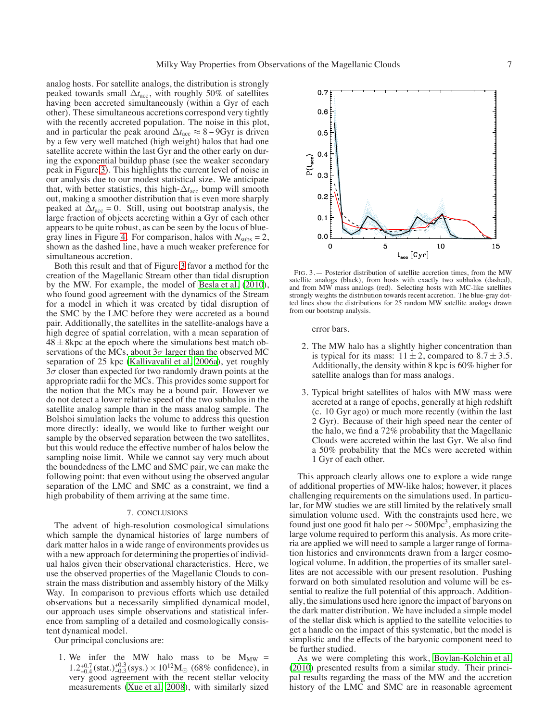analog hosts. For satellite analogs, the distribution is strongly peaked towards small  $\Delta t_{\text{acc}}$ , with roughly 50% of satellites having been accreted simultaneously (within a Gyr of each other). These simultaneous accretions correspond very tightly with the recently accreted population. The noise in this plot, and in particular the peak around  $\Delta t_{\text{acc}} \approx 8 - 9$ Gyr is driven by a few very well matched (high weight) halos that had one satellite accrete within the last Gyr and the other early on during the exponential buildup phase (see the weaker secondary peak in Figure [3\)](#page-6-0). This highlights the current level of noise in our analysis due to our modest statistical size. We anticipate that, with better statistics, this high- $\Delta t_{\text{acc}}$  bump will smooth out, making a smoother distribution that is even more sharply peaked at  $\Delta t_{\text{acc}} = 0$ . Still, using out bootstrap analysis, the large fraction of objects accreting within a Gyr of each other appears to be quite robust, as can be seen by the locus of blue-gray lines in Figure [4.](#page-7-33) For comparison, halos with  $N_{\text{subs}} = 2$ , shown as the dashed line, have a much weaker preference for simultaneous accretion.

Both this result and that of Figure [3](#page-6-0) favor a method for the creation of the Magellanic Stream other than tidal disruption by the MW. For example, the model of [Besla et al.](#page-7-16) [\(2010\)](#page-7-16), who found good agreement with the dynamics of the Stream for a model in which it was created by tidal disruption of the SMC by the LMC before they were accreted as a bound pair. Additionally, the satellites in the satellite-analogs have a high degree of spatial correlation, with a mean separation of  $48 \pm 8$  kpc at the epoch where the simulations best match observations of the MCs, about  $3\sigma$  larger than the observed MC separation of 25 kpc [\(Kallivayalil et al. 2006a\)](#page-7-17), yet roughly  $3\sigma$  closer than expected for two randomly drawn points at the appropriate radii for the MCs. This provides some support for the notion that the MCs may be a bound pair. However we do not detect a lower relative speed of the two subhalos in the satellite analog sample than in the mass analog sample. The Bolshoi simulation lacks the volume to address this question more directly: ideally, we would like to further weight our sample by the observed separation between the two satellites, but this would reduce the effective number of halos below the sampling noise limit. While we cannot say very much about the boundedness of the LMC and SMC pair, we can make the following point: that even without using the observed angular separation of the LMC and SMC as a constraint, we find a high probability of them arriving at the same time.

## 7. CONCLUSIONS

The advent of high-resolution cosmological simulations which sample the dynamical histories of large numbers of dark matter halos in a wide range of environments provides us with a new approach for determining the properties of individual halos given their observational characteristics. Here, we use the observed properties of the Magellanic Clouds to constrain the mass distribution and assembly history of the Milky Way. In comparison to previous efforts which use detailed observations but a necessarily simplified dynamical model, our approach uses simple observations and statistical inference from sampling of a detailed and cosmologically consistent dynamical model.

Our principal conclusions are:

1. We infer the MW halo mass to be  $M_{MW}$  =  $1.2^{+0.7}_{-0.4}$  (stat.) $^{+0.3}_{-0.3}$  (sys.) × 10<sup>12</sup>M<sub>\o </sub> (68% confidence), in very good agreement with the recent stellar velocity measurements [\(Xue et al. 2008\)](#page-8-2), with similarly sized



<span id="page-6-0"></span>FIG. 3.— Posterior distribution of satellite accretion times, from the MW satellite analogs (black), from hosts with exactly two subhalos (dashed), and from MW mass analogs (red). Selecting hosts with MC-like satellites strongly weights the distribution towards recent accretion. The blue-gray dotted lines show the distributions for 25 random MW satellite analogs drawn from our bootstrap analysis.

error bars.

- 2. The MW halo has a slightly higher concentration than is typical for its mass:  $11 \pm 2$ , compared to  $8.7 \pm 3.5$ . Additionally, the density within 8 kpc is 60% higher for satellite analogs than for mass analogs.
- 3. Typical bright satellites of halos with MW mass were accreted at a range of epochs, generally at high redshift (c. 10 Gyr ago) or much more recently (within the last 2 Gyr). Because of their high speed near the center of the halo, we find a 72% probability that the Magellanic Clouds were accreted within the last Gyr. We also find a 50% probability that the MCs were accreted within 1 Gyr of each other.

This approach clearly allows one to explore a wide range of additional properties of MW-like halos; however, it places challenging requirements on the simulations used. In particular, for MW studies we are still limited by the relatively small simulation volume used. With the constraints used here, we found just one good fit halo per  $\sim$  500Mpc<sup>3</sup>, emphasizing the large volume required to perform this analysis. As more criteria are applied we will need to sample a larger range of formation histories and environments drawn from a larger cosmological volume. In addition, the properties of its smaller satellites are not accessible with our present resolution. Pushing forward on both simulated resolution and volume will be essential to realize the full potential of this approach. Additionally, the simulations used here ignore the impact of baryons on the dark matter distribution. We have included a simple model of the stellar disk which is applied to the satellite velocities to get a handle on the impact of this systematic, but the model is simplistic and the effects of the baryonic component need to be further studied.

As we were completing this work, [Boylan-Kolchin et al.](#page-7-34) [\(2010\)](#page-7-34) presented results from a similar study. Their principal results regarding the mass of the MW and the accretion history of the LMC and SMC are in reasonable agreement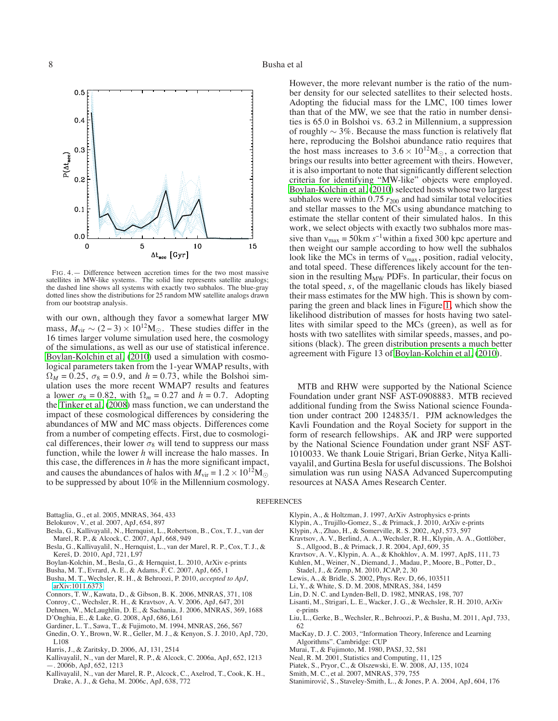

<span id="page-7-33"></span>FIG. 4.— Difference between accretion times for the two most massive satellites in MW-like systems. The solid line represents satellite analogs; the dashed line shows all systems with exactly two subhalos. The blue-gray dotted lines show the distributions for 25 random MW satellite analogs drawn from our bootstrap analysis.

with our own, although they favor a somewhat larger MW mass,  $M_{\text{vir}} \sim (2-3) \times 10^{12} \text{M}_{\odot}$ . These studies differ in the 16 times larger volume simulation used here, the cosmology of the simulations, as well as our use of statistical inference. [Boylan-Kolchin et al.](#page-7-34) [\(2010\)](#page-7-34) used a simulation with cosmological parameters taken from the 1-year WMAP results, with  $\Omega_M = 0.25$ ,  $\sigma_8 = 0.9$ , and  $h = 0.73$ , while the Bolshoi simulation uses the more recent WMAP7 results and features a lower  $\sigma_8 = 0.82$ , with  $\Omega_m = 0.27$  and  $h = 0.7$ . Adopting the [Tinker et al.](#page-8-13) [\(2008\)](#page-8-13) mass function, we can understand the impact of these cosmological differences by considering the abundances of MW and MC mass objects. Differences come from a number of competing effects. First, due to cosmological differences, their lower  $\sigma_8$  will tend to suppress our mass function, while the lower *h* will increase the halo masses. In this case, the differences in *h* has the more significant impact, and causes the abundances of halos with  $M_{\text{vir}} = 1.2 \times 10^{12} \text{M}_{\odot}$ to be suppressed by about 10% in the Millennium cosmology.

- <span id="page-7-6"></span>Battaglia, G., et al. 2005, MNRAS, 364, 433
- <span id="page-7-2"></span>Belokurov, V., et al. 2007, ApJ, 654, 897
- <span id="page-7-15"></span>Besla, G., Kallivayalil, N., Hernquist, L., Robertson, B., Cox, T. J., van der Marel, R. P., & Alcock, C. 2007, ApJ, 668, 949
- <span id="page-7-16"></span>Besla, G., Kallivayalil, N., Hernquist, L., van der Marel, R. P., Cox, T. J., & Kereš, D. 2010, ApJ, 721, L97
- <span id="page-7-34"></span>Boylan-Kolchin, M., Besla, G., & Hernquist, L. 2010, ArXiv e-prints
- <span id="page-7-32"></span>Busha, M. T., Evrard, A. E., & Adams, F. C. 2007, ApJ, 665, 1
- <span id="page-7-21"></span>Busha, M. T., Wechsler, R. H., & Behroozi, P. 2010, *accepted to ApJ*, [arXiv:1011.6373](http://arxiv.org/abs/1011.6373)
- Connors, T. W., Kawata, D., & Gibson, B. K. 2006, MNRAS, 371, 108
- <span id="page-7-20"></span><span id="page-7-14"></span>Conroy, C., Wechsler, R. H., & Kravtsov, A. V. 2006, ApJ, 647, 201
- Dehnen, W., McLaughlin, D. E., & Sachania, J. 2006, MNRAS, 369, 1688
- <span id="page-7-18"></span><span id="page-7-7"></span>D'Onghia, E., & Lake, G. 2008, ApJ, 686, L61
- <span id="page-7-12"></span>Gardiner, L. T., Sawa, T., & Fujimoto, M. 1994, MNRAS, 266, 567
- <span id="page-7-9"></span>Gnedin, O. Y., Brown, W. R., Geller, M. J., & Kenyon, S. J. 2010, ApJ, 720, L108
- <span id="page-7-28"></span>Harris, J., & Zaritsky, D. 2006, AJ, 131, 2514
- <span id="page-7-17"></span>Kallivayalil, N., van der Marel, R. P., & Alcock, C. 2006a, ApJ, 652, 1213 —. 2006b, ApJ, 652, 1213
- <span id="page-7-27"></span><span id="page-7-0"></span>Kallivayalil, N., van der Marel, R. P., Alcock, C., Axelrod, T., Cook, K. H., Drake, A. J., & Geha, M. 2006c, ApJ, 638, 772

However, the more relevant number is the ratio of the number density for our selected satellites to their selected hosts. Adopting the fiducial mass for the LMC, 100 times lower than that of the MW, we see that the ratio in number densities is 65.0 in Bolshoi vs. 63.2 in Millennium, a suppression of roughly  $\sim$  3%. Because the mass function is relatively flat here, reproducing the Bolshoi abundance ratio requires that the host mass increases to  $3.6 \times 10^{12} M_{\odot}$ , a correction that brings our results into better agreement with theirs. However, it is also important to note that significantly different selection criteria for identifying "MW-like" objects were employed. [Boylan-Kolchin et al.](#page-7-34) [\(2010\)](#page-7-34) selected hosts whose two largest subhalos were within  $0.75 r_{200}$  and had similar total velocities and stellar masses to the MCs using abundance matching to estimate the stellar content of their simulated halos. In this work, we select objects with exactly two subhalos more massive than  $v_{\text{max}} = 50 \text{km s}^{-1}$  within a fixed 300 kpc aperture and then weight our sample according to how well the subhalos look like the MCs in terms of  $v_{\text{max}}$ , position, radial velocity, and total speed. These differences likely account for the tension in the resulting  $M_{MW}$  PDFs. In particular, their focus on the total speed, *s*, of the magellanic clouds has likely biased their mass estimates for the MW high. This is shown by comparing the green and black lines in Figure [1,](#page-2-2) which show the likelihood distribution of masses for hosts having two satellites with similar speed to the MCs (green), as well as for hosts with two satellites with similar speeds, masses, and positions (black). The green distribution presents a much better agreement with Figure 13 of [Boylan-Kolchin et al.](#page-7-34) [\(2010\)](#page-7-34).

MTB and RHW were supported by the National Science Foundation under grant NSF AST-0908883. MTB recieved additional funding from the Swiss National science Foundation under contract 200 124835/1. PJM acknowledges the Kavli Foundation and the Royal Society for support in the form of research fellowships. AK and JRP were supported by the National Science Foundation under grant NSF AST-1010033. We thank Louie Strigari, Brian Gerke, Nitya Kallivayalil, and Gurtina Besla for useful discussions. The Bolshoi simulation was run using NASA Advanced Supercomputing resources at NASA Ames Research Center.

REFERENCES

- <span id="page-7-25"></span>Klypin, A., & Holtzman, J. 1997, ArXiv Astrophysics e-prints
- <span id="page-7-23"></span>Klypin, A., Trujillo-Gomez, S., & Primack, J. 2010, ArXiv e-prints
- <span id="page-7-5"></span>Klypin, A., Zhao, H., & Somerville, R. S. 2002, ApJ, 573, 597
- <span id="page-7-19"></span>Kravtsov, A. V., Berlind, A. A., Wechsler, R. H., Klypin, A. A., Gottlöber, S., Allgood, B., & Primack, J. R. 2004, ApJ, 609, 35
- <span id="page-7-24"></span>Kravtsov, A. V., Klypin, A. A., & Khokhlov, A. M. 1997, ApJS, 111, 73
- <span id="page-7-4"></span>Kuhlen, M., Weiner, N., Diemand, J., Madau, P., Moore, B., Potter, D.,
- Stadel, J., & Zemp, M. 2010, JCAP, 2, 30
- <span id="page-7-30"></span>Lewis, A., & Bridle, S. 2002, Phys. Rev. D, 66, 103511
- <span id="page-7-10"></span>Li, Y., & White, S. D. M. 2008, MNRAS, 384, 1459
- <span id="page-7-13"></span>Lin, D. N. C. and Lynden-Bell, D. 1982, MNRAS, 198, 707
- <span id="page-7-3"></span>Lisanti, M., Strigari, L. E., Wacker, J. G., & Wechsler, R. H. 2010, ArXiv e-prints
- <span id="page-7-22"></span>Liu, L., Gerke, B., Wechsler, R., Behroozi, P., & Busha, M. 2011, ApJ, 733, 62
- <span id="page-7-29"></span>MacKay, D. J. C. 2003, "Information Theory, Inference and Learning Algorithms". Cambridge: CUP
- <span id="page-7-11"></span>Murai, T., & Fujimoto, M. 1980, PASJ, 32, 581
- <span id="page-7-31"></span>Neal, R. M. 2001, Statistics and Computing, 11, 125
- <span id="page-7-1"></span>Piatek, S., Pryor, C., & Olszewski, E. W. 2008, AJ, 135, 1024
- <span id="page-7-8"></span>Smith, M. C., et al. 2007, MNRAS, 379, 755
- <span id="page-7-26"></span>Stanimirović, S., Staveley-Smith, L., & Jones, P. A. 2004, ApJ, 604, 176